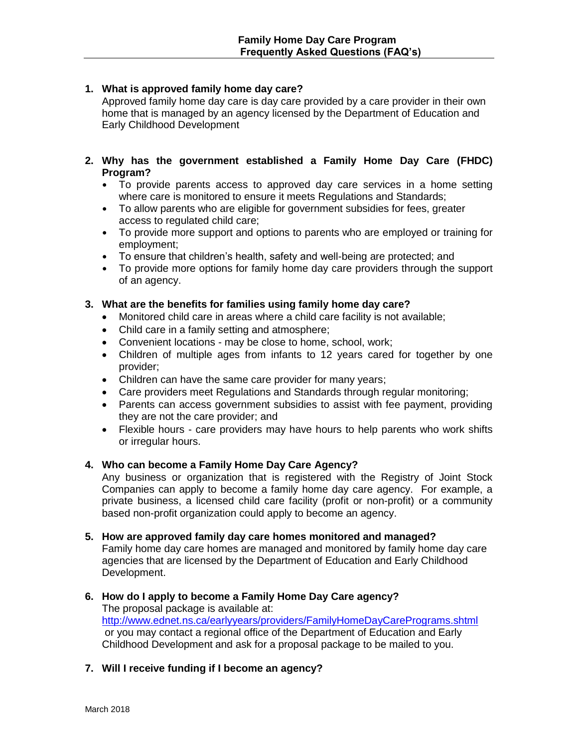# **1. What is approved family home day care?**

Approved family home day care is day care provided by a care provider in their own home that is managed by an agency licensed by the Department of Education and Early Childhood Development

- **2. Why has the government established a Family Home Day Care (FHDC) Program?**
	- To provide parents access to approved day care services in a home setting where care is monitored to ensure it meets Regulations and Standards;
	- To allow parents who are eligible for government subsidies for fees, greater access to regulated child care;
	- To provide more support and options to parents who are employed or training for employment;
	- To ensure that children's health, safety and well-being are protected; and
	- To provide more options for family home day care providers through the support of an agency.

# **3. What are the benefits for families using family home day care?**

- Monitored child care in areas where a child care facility is not available;
- Child care in a family setting and atmosphere;
- Convenient locations may be close to home, school, work;
- Children of multiple ages from infants to 12 years cared for together by one provider;
- Children can have the same care provider for many years;
- Care providers meet Regulations and Standards through regular monitoring;
- Parents can access government subsidies to assist with fee payment, providing they are not the care provider; and
- Flexible hours care providers may have hours to help parents who work shifts or irregular hours.

# **4. Who can become a Family Home Day Care Agency?**

Any business or organization that is registered with the Registry of Joint Stock Companies can apply to become a family home day care agency. For example, a private business, a licensed child care facility (profit or non-profit) or a community based non-profit organization could apply to become an agency.

**5. How are approved family day care homes monitored and managed?**

Family home day care homes are managed and monitored by family home day care agencies that are licensed by the Department of Education and Early Childhood Development.

- **6. How do I apply to become a Family Home Day Care agency?** The proposal package is available at: <http://www.ednet.ns.ca/earlyyears/providers/FamilyHomeDayCarePrograms.shtml> or you may contact a regional office of the Department of Education and Early Childhood Development and ask for a proposal package to be mailed to you.
- **7. Will I receive funding if I become an agency?**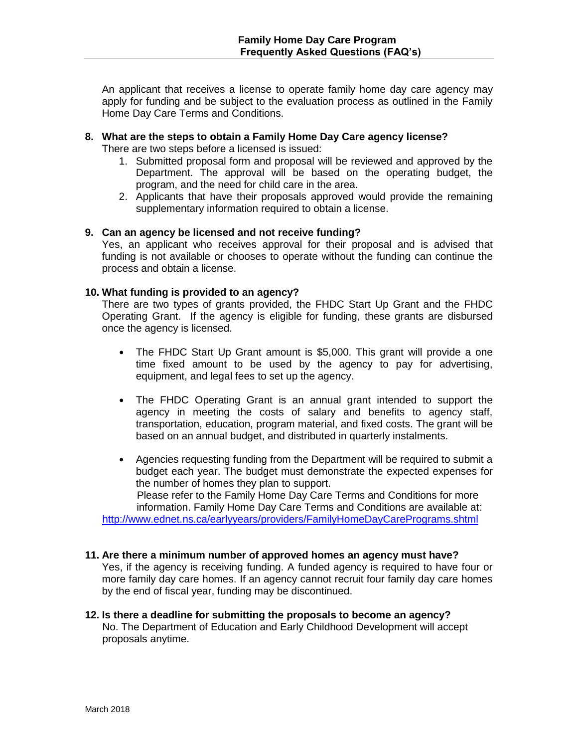An applicant that receives a license to operate family home day care agency may apply for funding and be subject to the evaluation process as outlined in the Family Home Day Care Terms and Conditions.

## **8. What are the steps to obtain a Family Home Day Care agency license?**

There are two steps before a licensed is issued:

- 1. Submitted proposal form and proposal will be reviewed and approved by the Department. The approval will be based on the operating budget, the program, and the need for child care in the area.
- 2. Applicants that have their proposals approved would provide the remaining supplementary information required to obtain a license.

## **9. Can an agency be licensed and not receive funding?**

Yes, an applicant who receives approval for their proposal and is advised that funding is not available or chooses to operate without the funding can continue the process and obtain a license.

## **10. What funding is provided to an agency?**

There are two types of grants provided, the FHDC Start Up Grant and the FHDC Operating Grant. If the agency is eligible for funding, these grants are disbursed once the agency is licensed.

- The FHDC Start Up Grant amount is \$5,000. This grant will provide a one time fixed amount to be used by the agency to pay for advertising, equipment, and legal fees to set up the agency.
- The FHDC Operating Grant is an annual grant intended to support the agency in meeting the costs of salary and benefits to agency staff, transportation, education, program material, and fixed costs. The grant will be based on an annual budget, and distributed in quarterly instalments.
- Agencies requesting funding from the Department will be required to submit a budget each year. The budget must demonstrate the expected expenses for the number of homes they plan to support. Please refer to the Family Home Day Care Terms and Conditions for more information. Family Home Day Care Terms and Conditions are available at: <http://www.ednet.ns.ca/earlyyears/providers/FamilyHomeDayCarePrograms.shtml>

# **11. Are there a minimum number of approved homes an agency must have?**

Yes, if the agency is receiving funding. A funded agency is required to have four or more family day care homes. If an agency cannot recruit four family day care homes by the end of fiscal year, funding may be discontinued.

#### **12. Is there a deadline for submitting the proposals to become an agency?** No. The Department of Education and Early Childhood Development will accept proposals anytime.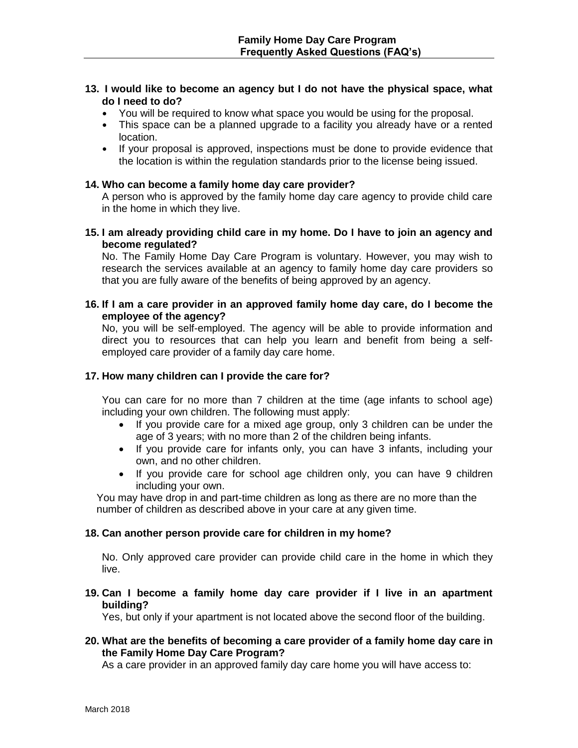## **13. I would like to become an agency but I do not have the physical space, what do I need to do?**

- You will be required to know what space you would be using for the proposal.
- This space can be a planned upgrade to a facility you already have or a rented location.
- If your proposal is approved, inspections must be done to provide evidence that the location is within the regulation standards prior to the license being issued.

#### **14. Who can become a family home day care provider?**

A person who is approved by the family home day care agency to provide child care in the home in which they live.

**15. I am already providing child care in my home. Do I have to join an agency and become regulated?**

No. The Family Home Day Care Program is voluntary. However, you may wish to research the services available at an agency to family home day care providers so that you are fully aware of the benefits of being approved by an agency.

## **16. If I am a care provider in an approved family home day care, do I become the employee of the agency?**

No, you will be self-employed. The agency will be able to provide information and direct you to resources that can help you learn and benefit from being a selfemployed care provider of a family day care home.

## **17. How many children can I provide the care for?**

You can care for no more than 7 children at the time (age infants to school age) including your own children. The following must apply:

- If you provide care for a mixed age group, only 3 children can be under the age of 3 years; with no more than 2 of the children being infants.
- If you provide care for infants only, you can have 3 infants, including your own, and no other children.
- If you provide care for school age children only, you can have 9 children including your own.

 You may have drop in and part-time children as long as there are no more than the number of children as described above in your care at any given time.

#### **18. Can another person provide care for children in my home?**

No. Only approved care provider can provide child care in the home in which they live.

**19. Can I become a family home day care provider if I live in an apartment building?**

Yes, but only if your apartment is not located above the second floor of the building.

## **20. What are the benefits of becoming a care provider of a family home day care in the Family Home Day Care Program?**

As a care provider in an approved family day care home you will have access to: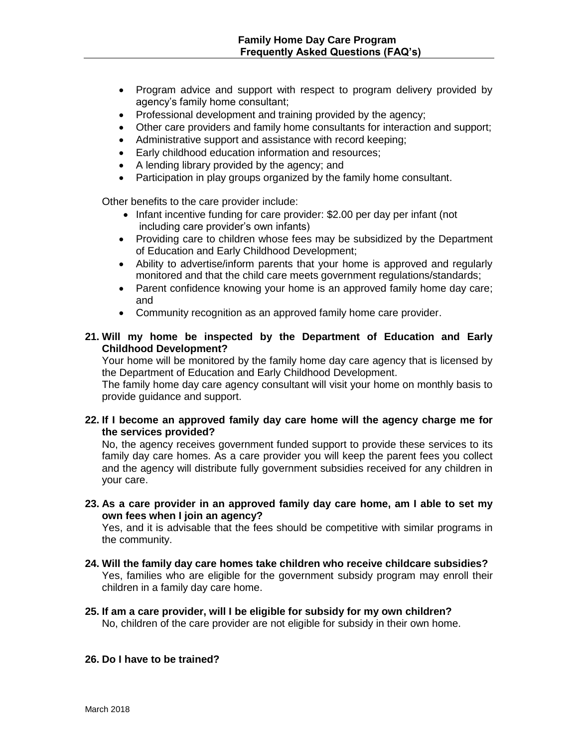- Program advice and support with respect to program delivery provided by agency's family home consultant;
- Professional development and training provided by the agency;
- Other care providers and family home consultants for interaction and support;
- Administrative support and assistance with record keeping;
- Early childhood education information and resources;
- A lending library provided by the agency; and
- Participation in play groups organized by the family home consultant.

Other benefits to the care provider include:

- Infant incentive funding for care provider: \$2.00 per day per infant (not including care provider's own infants)
- Providing care to children whose fees may be subsidized by the Department of Education and Early Childhood Development;
- Ability to advertise/inform parents that your home is approved and regularly monitored and that the child care meets government regulations/standards;
- Parent confidence knowing your home is an approved family home day care; and
- Community recognition as an approved family home care provider.

## **21. Will my home be inspected by the Department of Education and Early Childhood Development?**

Your home will be monitored by the family home day care agency that is licensed by the Department of Education and Early Childhood Development.

The family home day care agency consultant will visit your home on monthly basis to provide guidance and support.

## **22. If I become an approved family day care home will the agency charge me for the services provided?**

No, the agency receives government funded support to provide these services to its family day care homes. As a care provider you will keep the parent fees you collect and the agency will distribute fully government subsidies received for any children in your care.

**23. As a care provider in an approved family day care home, am I able to set my own fees when I join an agency?** 

Yes, and it is advisable that the fees should be competitive with similar programs in the community.

- **24. Will the family day care homes take children who receive childcare subsidies?** Yes, families who are eligible for the government subsidy program may enroll their children in a family day care home.
- **25. If am a care provider, will I be eligible for subsidy for my own children?** No, children of the care provider are not eligible for subsidy in their own home.

#### **26. Do I have to be trained?**